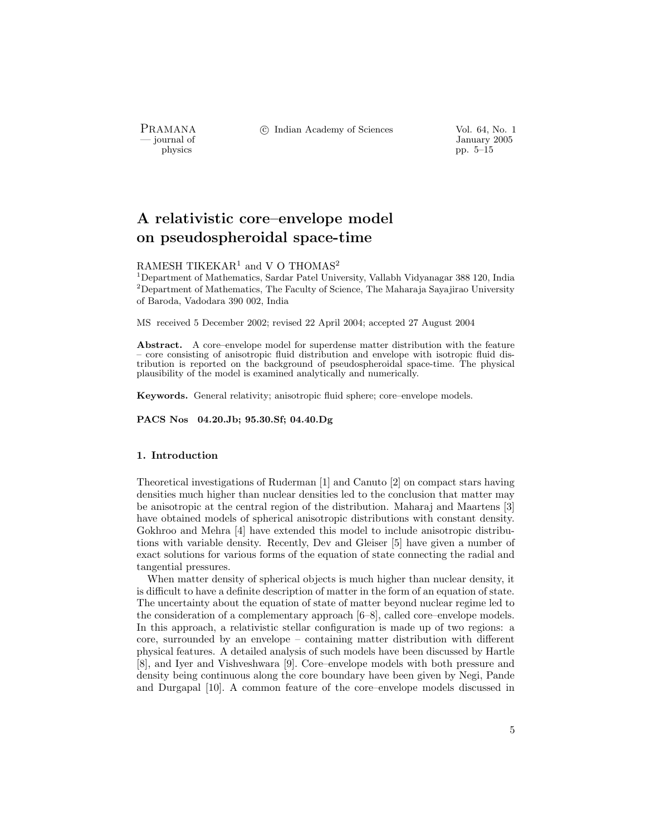physics pp. 5–15

PRAMANA °<sup>c</sup> Indian Academy of Sciences Vol. 64, No. 1

— journal of January 2005

# A relativistic core–envelope model on pseudospheroidal space-time

## RAMESH TIKEKAR<sup>1</sup> and V O THOMAS<sup>2</sup>

<sup>1</sup>Department of Mathematics, Sardar Patel University, Vallabh Vidyanagar 388 120, India <sup>2</sup>Department of Mathematics, The Faculty of Science, The Maharaja Sayajirao University of Baroda, Vadodara 390 002, India

MS received 5 December 2002; revised 22 April 2004; accepted 27 August 2004

Abstract. A core–envelope model for superdense matter distribution with the feature – core consisting of anisotropic fluid distribution and envelope with isotropic fluid distribution is reported on the background of pseudospheroidal space-time. The physical plausibility of the model is examined analytically and numerically.

Keywords. General relativity; anisotropic fluid sphere; core–envelope models.

PACS Nos 04.20.Jb; 95.30.Sf; 04.40.Dg

#### 1. Introduction

Theoretical investigations of Ruderman [1] and Canuto [2] on compact stars having densities much higher than nuclear densities led to the conclusion that matter may be anisotropic at the central region of the distribution. Maharaj and Maartens [3] have obtained models of spherical anisotropic distributions with constant density. Gokhroo and Mehra [4] have extended this model to include anisotropic distributions with variable density. Recently, Dev and Gleiser [5] have given a number of exact solutions for various forms of the equation of state connecting the radial and tangential pressures.

When matter density of spherical objects is much higher than nuclear density, it is difficult to have a definite description of matter in the form of an equation of state. The uncertainty about the equation of state of matter beyond nuclear regime led to the consideration of a complementary approach [6–8], called core–envelope models. In this approach, a relativistic stellar configuration is made up of two regions: a core, surrounded by an envelope – containing matter distribution with different physical features. A detailed analysis of such models have been discussed by Hartle [8], and Iyer and Vishveshwara [9]. Core–envelope models with both pressure and density being continuous along the core boundary have been given by Negi, Pande and Durgapal [10]. A common feature of the core–envelope models discussed in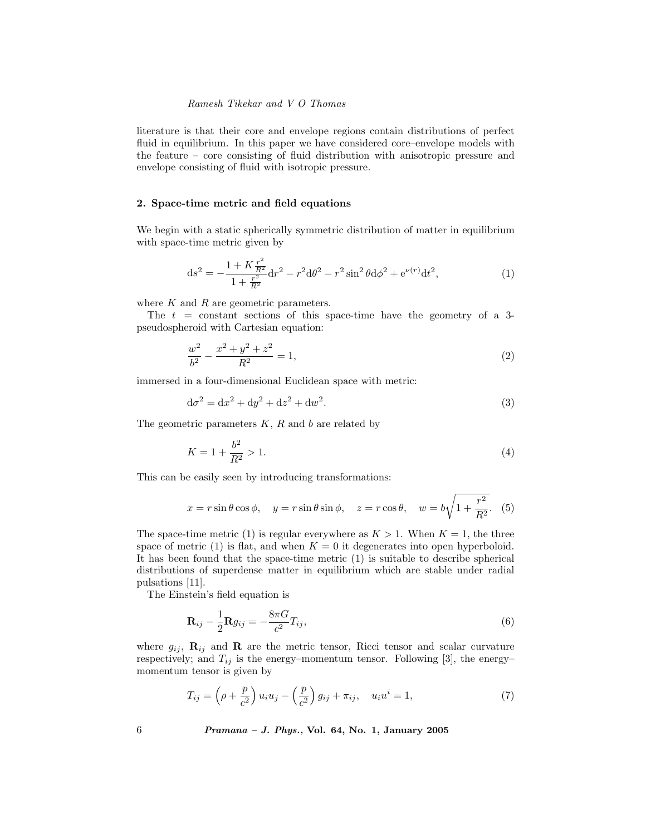literature is that their core and envelope regions contain distributions of perfect fluid in equilibrium. In this paper we have considered core–envelope models with the feature – core consisting of fluid distribution with anisotropic pressure and envelope consisting of fluid with isotropic pressure.

## 2. Space-time metric and field equations

We begin with a static spherically symmetric distribution of matter in equilibrium with space-time metric given by

$$
ds^{2} = -\frac{1 + K\frac{r^{2}}{R^{2}}}{1 + \frac{r^{2}}{R^{2}}}dr^{2} - r^{2}d\theta^{2} - r^{2}\sin^{2}\theta d\phi^{2} + e^{\nu(r)}dt^{2},
$$
\n(1)

where  $K$  and  $R$  are geometric parameters.

The  $t = constant$  sections of this space-time have the geometry of a 3pseudospheroid with Cartesian equation:

$$
\frac{w^2}{b^2} - \frac{x^2 + y^2 + z^2}{R^2} = 1,\tag{2}
$$

immersed in a four-dimensional Euclidean space with metric:

$$
d\sigma^2 = dx^2 + dy^2 + dz^2 + dw^2.
$$
 (3)

The geometric parameters  $K, R$  and  $b$  are related by

$$
K = 1 + \frac{b^2}{R^2} > 1.
$$
\n<sup>(4)</sup>

This can be easily seen by introducing transformations:

$$
x = r\sin\theta\cos\phi, \quad y = r\sin\theta\sin\phi, \quad z = r\cos\theta, \quad w = b\sqrt{1 + \frac{r^2}{R^2}}.
$$
 (5)

The space-time metric (1) is regular everywhere as  $K > 1$ . When  $K = 1$ , the three space of metric (1) is flat, and when  $K = 0$  it degenerates into open hyperboloid. It has been found that the space-time metric (1) is suitable to describe spherical distributions of superdense matter in equilibrium which are stable under radial pulsations [11].

The Einstein's field equation is

$$
\mathbf{R}_{ij} - \frac{1}{2} \mathbf{R} g_{ij} = -\frac{8\pi G}{c^2} T_{ij},\tag{6}
$$

where  $g_{ij}$ ,  $\mathbf{R}_{ij}$  and  $\mathbf{R}$  are the metric tensor, Ricci tensor and scalar curvature respectively; and  $T_{ij}$  is the energy–momentum tensor. Following [3], the energy– momentum tensor is given by

$$
T_{ij} = \left(\rho + \frac{p}{c^2}\right)u_iu_j - \left(\frac{p}{c^2}\right)g_{ij} + \pi_{ij}, \quad u_iu^i = 1,\tag{7}
$$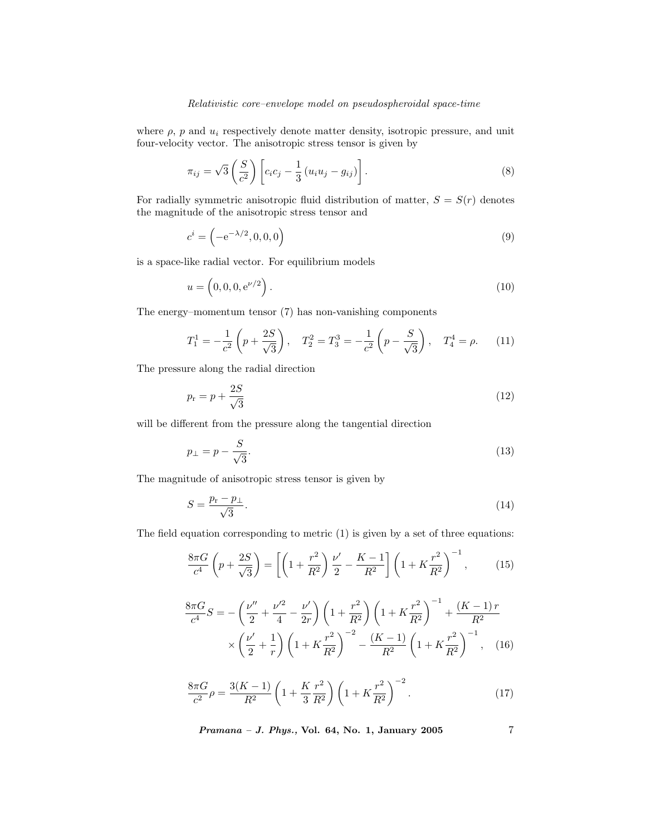where  $\rho$ ,  $p$  and  $u_i$  respectively denote matter density, isotropic pressure, and unit four-velocity vector. The anisotropic stress tensor is given by

$$
\pi_{ij} = \sqrt{3} \left( \frac{S}{c^2} \right) \left[ c_i c_j - \frac{1}{3} \left( u_i u_j - g_{ij} \right) \right]. \tag{8}
$$

For radially symmetric anisotropic fluid distribution of matter,  $S = S(r)$  denotes the magnitude of the anisotropic stress tensor and

$$
c^i = \left(-e^{-\lambda/2}, 0, 0, 0\right) \tag{9}
$$

is a space-like radial vector. For equilibrium models

$$
u = \left(0, 0, 0, e^{\nu/2}\right). \tag{10}
$$

The energy–momentum tensor (7) has non-vanishing components

$$
T_1^1 = -\frac{1}{c^2} \left( p + \frac{2S}{\sqrt{3}} \right), \quad T_2^2 = T_3^3 = -\frac{1}{c^2} \left( p - \frac{S}{\sqrt{3}} \right), \quad T_4^4 = \rho. \tag{11}
$$

The pressure along the radial direction

$$
p_{\rm r} = p + \frac{2S}{\sqrt{3}}\tag{12}
$$

will be different from the pressure along the tangential direction

$$
p_{\perp} = p - \frac{S}{\sqrt{3}}.\tag{13}
$$

The magnitude of anisotropic stress tensor is given by

$$
S = \frac{p_{\rm r} - p_{\perp}}{\sqrt{3}}.\tag{14}
$$

The field equation corresponding to metric (1) is given by a set of three equations:

$$
\frac{8\pi G}{c^4} \left( p + \frac{2S}{\sqrt{3}} \right) = \left[ \left( 1 + \frac{r^2}{R^2} \right) \frac{\nu'}{2} - \frac{K-1}{R^2} \right] \left( 1 + K \frac{r^2}{R^2} \right)^{-1},\tag{15}
$$

$$
\frac{8\pi G}{c^4}S = -\left(\frac{\nu''}{2} + \frac{\nu'^2}{4} - \frac{\nu'}{2r}\right)\left(1 + \frac{r^2}{R^2}\right)\left(1 + K\frac{r^2}{R^2}\right)^{-1} + \frac{(K-1)r}{R^2}
$$

$$
\times \left(\frac{\nu'}{2} + \frac{1}{r}\right)\left(1 + K\frac{r^2}{R^2}\right)^{-2} - \frac{(K-1)}{R^2}\left(1 + K\frac{r^2}{R^2}\right)^{-1}, \quad (16)
$$

$$
\frac{8\pi G}{c^2}\rho = \frac{3(K-1)}{R^2}\left(1 + \frac{K}{3}\frac{r^2}{R^2}\right)\left(1 + K\frac{r^2}{R^2}\right)^{-2}.\tag{17}
$$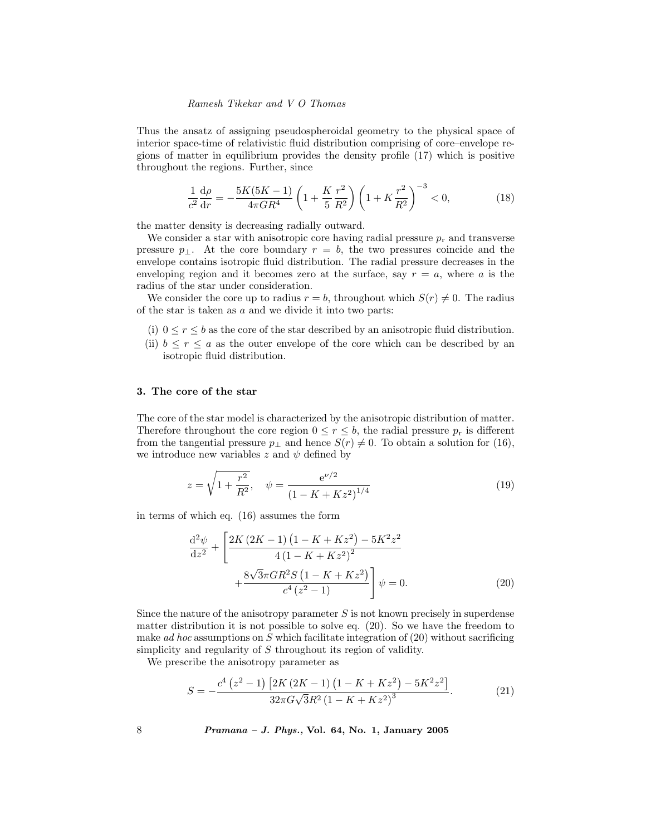Thus the ansatz of assigning pseudospheroidal geometry to the physical space of interior space-time of relativistic fluid distribution comprising of core–envelope regions of matter in equilibrium provides the density profile (17) which is positive throughout the regions. Further, since

$$
\frac{1}{c^2}\frac{d\rho}{dr} = -\frac{5K(5K-1)}{4\pi GR^4} \left(1 + \frac{K}{5}\frac{r^2}{R^2}\right) \left(1 + K\frac{r^2}{R^2}\right)^{-3} < 0,\tag{18}
$$

the matter density is decreasing radially outward.

We consider a star with anisotropic core having radial pressure  $p_r$  and transverse pressure  $p_{\perp}$ . At the core boundary  $r = b$ , the two pressures coincide and the envelope contains isotropic fluid distribution. The radial pressure decreases in the enveloping region and it becomes zero at the surface, say  $r = a$ , where a is the radius of the star under consideration.

We consider the core up to radius  $r = b$ , throughout which  $S(r) \neq 0$ . The radius of the star is taken as a and we divide it into two parts:

- (i)  $0 \le r \le b$  as the core of the star described by an anisotropic fluid distribution.
- (ii)  $b \leq r \leq a$  as the outer envelope of the core which can be described by an isotropic fluid distribution.

#### 3. The core of the star

The core of the star model is characterized by the anisotropic distribution of matter. Therefore throughout the core region  $0 \leq r \leq b$ , the radial pressure  $p_r$  is different from the tangential pressure  $p_{\perp}$  and hence  $S(r) \neq 0$ . To obtain a solution for (16), we introduce new variables z and  $\psi$  defined by

$$
z = \sqrt{1 + \frac{r^2}{R^2}}, \quad \psi = \frac{e^{\nu/2}}{(1 - K + Kz^2)^{1/4}}
$$
(19)

in terms of which eq. (16) assumes the form

$$
\frac{d^2\psi}{dz^2} + \left[ \frac{2K\left(2K - 1\right)\left(1 - K + Kz^2\right) - 5K^2z^2}{4\left(1 - K + Kz^2\right)^2} + \frac{8\sqrt{3}\pi GR^2S\left(1 - K + Kz^2\right)}{c^4\left(z^2 - 1\right)} \right] \psi = 0.
$$
\n(20)

Since the nature of the anisotropy parameter  $S$  is not known precisely in superdense matter distribution it is not possible to solve eq. (20). So we have the freedom to make *ad hoc* assumptions on  $S$  which facilitate integration of  $(20)$  without sacrificing simplicity and regularity of  $S$  throughout its region of validity.

We prescribe the anisotropy parameter as

$$
S = -\frac{c^4 \left(z^2 - 1\right) \left[2K \left(2K - 1\right) \left(1 - K + K z^2\right) - 5K^2 z^2\right]}{32\pi G \sqrt{3} R^2 \left(1 - K + K z^2\right)^3}.
$$
 (21)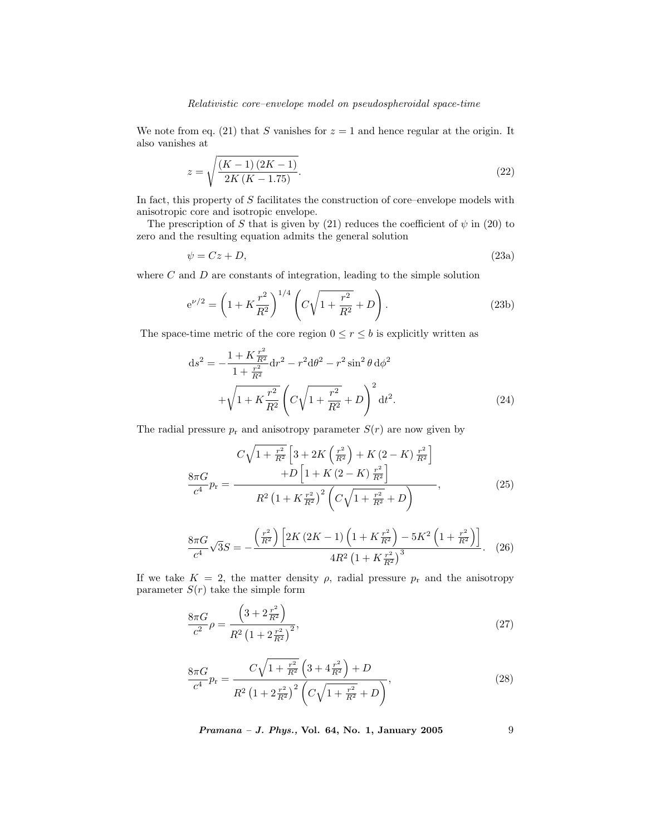We note from eq. (21) that S vanishes for  $z = 1$  and hence regular at the origin. It also vanishes at

$$
z = \sqrt{\frac{(K-1)(2K-1)}{2K(K-1.75)}}.\t(22)
$$

In fact, this property of S facilitates the construction of core–envelope models with anisotropic core and isotropic envelope.

The prescription of S that is given by (21) reduces the coefficient of  $\psi$  in (20) to zero and the resulting equation admits the general solution

$$
\psi = Cz + D,\tag{23a}
$$

where  $C$  and  $D$  are constants of integration, leading to the simple solution

$$
e^{\nu/2} = \left(1 + K\frac{r^2}{R^2}\right)^{1/4} \left(C\sqrt{1 + \frac{r^2}{R^2}} + D\right).
$$
 (23b)

The space-time metric of the core region  $0 \le r \le b$  is explicitly written as

$$
ds^{2} = -\frac{1 + K\frac{r^{2}}{R^{2}}}{1 + \frac{r^{2}}{R^{2}}}dr^{2} - r^{2}d\theta^{2} - r^{2}\sin^{2}\theta d\phi^{2}
$$

$$
+ \sqrt{1 + K\frac{r^{2}}{R^{2}}} \left(C\sqrt{1 + \frac{r^{2}}{R^{2}} + D}\right)^{2} dt^{2}.
$$
(24)

The radial pressure  $p_r$  and anisotropy parameter  $S(r)$  are now given by

$$
C\sqrt{1 + \frac{r^2}{R^2}} \left[3 + 2K\left(\frac{r^2}{R^2}\right) + K\left(2 - K\right)\frac{r^2}{R^2}\right] + D\left[1 + K\left(2 - K\right)\frac{r^2}{R^2}\right] + D\left[1 + K\left(2 - K\right)\frac{r^2}{R^2}\right],\tag{25}
$$
\n
$$
R^2\left(1 + K\frac{r^2}{R^2}\right)^2 \left(C\sqrt{1 + \frac{r^2}{R^2}} + D\right),
$$

$$
\frac{8\pi G}{c^4}\sqrt{3}S = -\frac{\left(\frac{r^2}{R^2}\right)\left[2K\left(2K-1\right)\left(1+K\frac{r^2}{R^2}\right)-5K^2\left(1+\frac{r^2}{R^2}\right)\right]}{4R^2\left(1+K\frac{r^2}{R^2}\right)^3}.
$$
 (26)

If we take  $K = 2$ , the matter density  $\rho$ , radial pressure  $p_r$  and the anisotropy parameter  $S(r)$  take the simple form

$$
\frac{8\pi G}{c^2} \rho = \frac{\left(3 + 2\frac{r^2}{R^2}\right)}{R^2 \left(1 + 2\frac{r^2}{R^2}\right)^2},\tag{27}
$$

$$
\frac{8\pi G}{c^4}p_r = \frac{C\sqrt{1 + \frac{r^2}{R^2}} \left(3 + 4\frac{r^2}{R^2}\right) + D}{R^2 \left(1 + 2\frac{r^2}{R^2}\right)^2 \left(C\sqrt{1 + \frac{r^2}{R^2}} + D\right)},\tag{28}
$$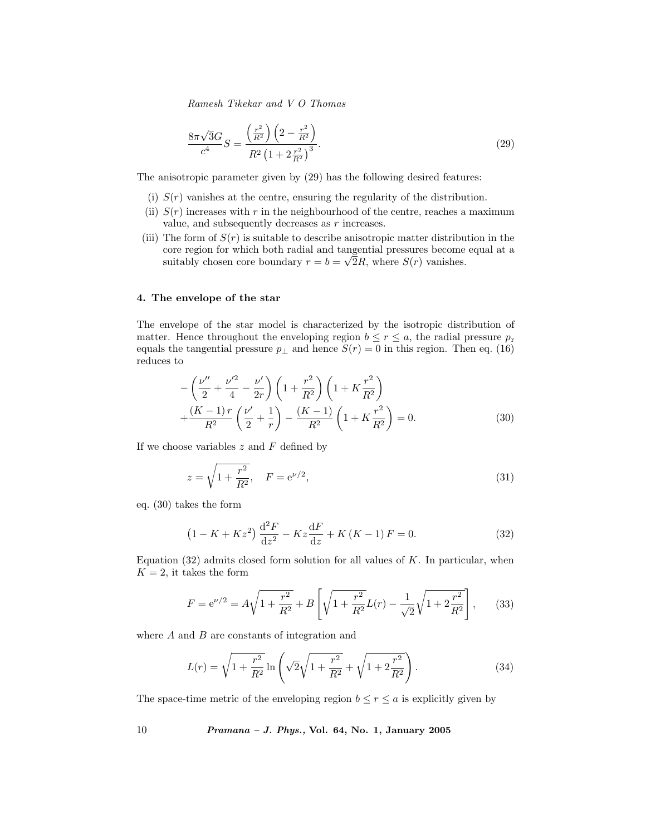$$
\frac{8\pi\sqrt{3}G}{c^4}S = \frac{\left(\frac{r^2}{R^2}\right)\left(2 - \frac{r^2}{R^2}\right)}{R^2\left(1 + 2\frac{r^2}{R^2}\right)^3}.
$$
\n(29)

The anisotropic parameter given by (29) has the following desired features:

- (i)  $S(r)$  vanishes at the centre, ensuring the regularity of the distribution.
- (ii)  $S(r)$  increases with r in the neighbourhood of the centre, reaches a maximum value, and subsequently decreases as  $r$  increases.
- (iii) The form of  $S(r)$  is suitable to describe anisotropic matter distribution in the core region for which both radial and tangential pressures become equal at a suitably chosen core boundary  $r = b = \sqrt{2}R$ , where  $S(r)$  vanishes.

#### 4. The envelope of the star

The envelope of the star model is characterized by the isotropic distribution of matter. Hence throughout the enveloping region  $b \leq r \leq a$ , the radial pressure  $p_r$ equals the tangential pressure  $p_{\perp}$  and hence  $S(r) = 0$  in this region. Then eq. (16) reduces to

$$
-\left(\frac{\nu''}{2} + \frac{\nu'^2}{4} - \frac{\nu'}{2r}\right)\left(1 + \frac{r^2}{R^2}\right)\left(1 + K\frac{r^2}{R^2}\right) + \frac{(K-1)r}{R^2}\left(\frac{\nu'}{2} + \frac{1}{r}\right) - \frac{(K-1)}{R^2}\left(1 + K\frac{r^2}{R^2}\right) = 0.
$$
\n(30)

If we choose variables  $z$  and  $F$  defined by

$$
z = \sqrt{1 + \frac{r^2}{R^2}}, \quad F = e^{\nu/2}, \tag{31}
$$

eq. (30) takes the form

$$
(1 - K + Kz2)\frac{d2F}{dz2} - Kz\frac{dF}{dz} + K(K - 1)F = 0.
$$
 (32)

Equation  $(32)$  admits closed form solution for all values of K. In particular, when  $K = 2$ , it takes the form

$$
F = e^{\nu/2} = A\sqrt{1 + \frac{r^2}{R^2}} + B\left[\sqrt{1 + \frac{r^2}{R^2}}L(r) - \frac{1}{\sqrt{2}}\sqrt{1 + 2\frac{r^2}{R^2}}\right],\qquad(33)
$$

where  $A$  and  $B$  are constants of integration and

$$
L(r) = \sqrt{1 + \frac{r^2}{R^2}} \ln\left(\sqrt{2}\sqrt{1 + \frac{r^2}{R^2}} + \sqrt{1 + 2\frac{r^2}{R^2}}\right).
$$
 (34)

The space-time metric of the enveloping region  $b \leq r \leq a$  is explicitly given by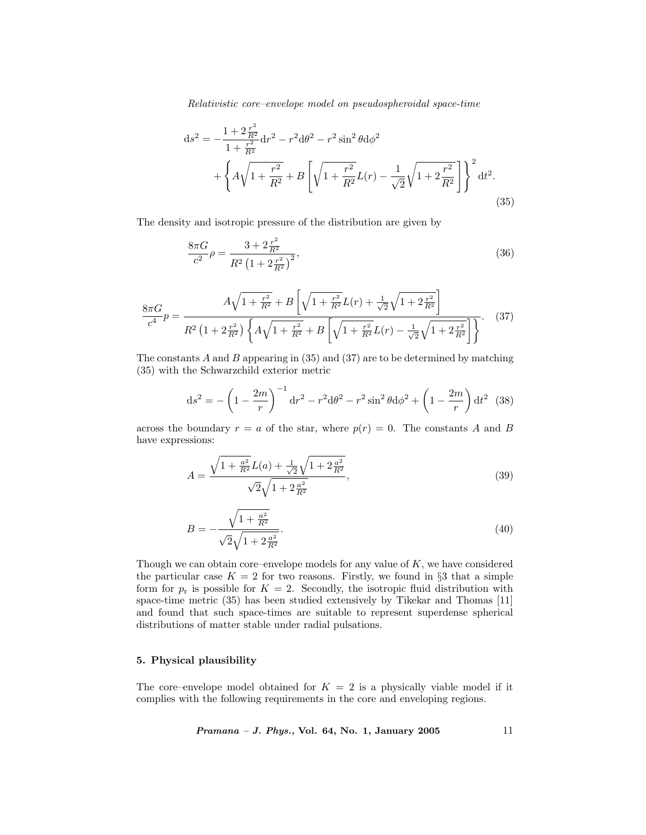$$
ds^{2} = -\frac{1 + 2\frac{r^{2}}{R^{2}}}{1 + \frac{r^{2}}{R^{2}}} dr^{2} - r^{2} d\theta^{2} - r^{2} \sin^{2} \theta d\phi^{2}
$$
  
+ 
$$
\left\{ A\sqrt{1 + \frac{r^{2}}{R^{2}}} + B\left[\sqrt{1 + \frac{r^{2}}{R^{2}}} L(r) - \frac{1}{\sqrt{2}}\sqrt{1 + 2\frac{r^{2}}{R^{2}}}\right]\right\}^{2} dt^{2}.
$$
\n(35)

The density and isotropic pressure of the distribution are given by

$$
\frac{8\pi G}{c^2}\rho = \frac{3 + 2\frac{r^2}{R^2}}{R^2 \left(1 + 2\frac{r^2}{R^2}\right)^2},\tag{36}
$$

$$
\frac{8\pi G}{c^4}p = \frac{A\sqrt{1 + \frac{r^2}{R^2}} + B\left[\sqrt{1 + \frac{r^2}{R^2}}L(r) + \frac{1}{\sqrt{2}}\sqrt{1 + 2\frac{r^2}{R^2}}\right]}{R^2\left(1 + 2\frac{r^2}{R^2}\right)\left\{A\sqrt{1 + \frac{r^2}{R^2}} + B\left[\sqrt{1 + \frac{r^2}{R^2}}L(r) - \frac{1}{\sqrt{2}}\sqrt{1 + 2\frac{r^2}{R^2}}\right]\right\}}.
$$
(37)

The constants  $\hat{A}$  and  $\hat{B}$  appearing in (35) and (37) are to be determined by matching (35) with the Schwarzchild exterior metric

$$
ds^{2} = -\left(1 - \frac{2m}{r}\right)^{-1} dr^{2} - r^{2} d\theta^{2} - r^{2} \sin^{2} \theta d\phi^{2} + \left(1 - \frac{2m}{r}\right) dt^{2} (38)
$$

across the boundary  $r = a$  of the star, where  $p(r) = 0$ . The constants A and B have expressions:

$$
A = \frac{\sqrt{1 + \frac{a^2}{R^2}}L(a) + \frac{1}{\sqrt{2}}\sqrt{1 + 2\frac{a^2}{R^2}}}{\sqrt{2}\sqrt{1 + 2\frac{a^2}{R^2}}},
$$
\n(39)

$$
B = -\frac{\sqrt{1 + \frac{a^2}{R^2}}}{\sqrt{2}\sqrt{1 + 2\frac{a^2}{R^2}}}.
$$
\n(40)

Though we can obtain core–envelope models for any value of  $K$ , we have considered the particular case  $K = 2$  for two reasons. Firstly, we found in §3 that a simple form for  $p_r$  is possible for  $K = 2$ . Secondly, the isotropic fluid distribution with space-time metric (35) has been studied extensively by Tikekar and Thomas [11] and found that such space-times are suitable to represent superdense spherical distributions of matter stable under radial pulsations.

# 5. Physical plausibility

The core–envelope model obtained for  $K = 2$  is a physically viable model if it complies with the following requirements in the core and enveloping regions.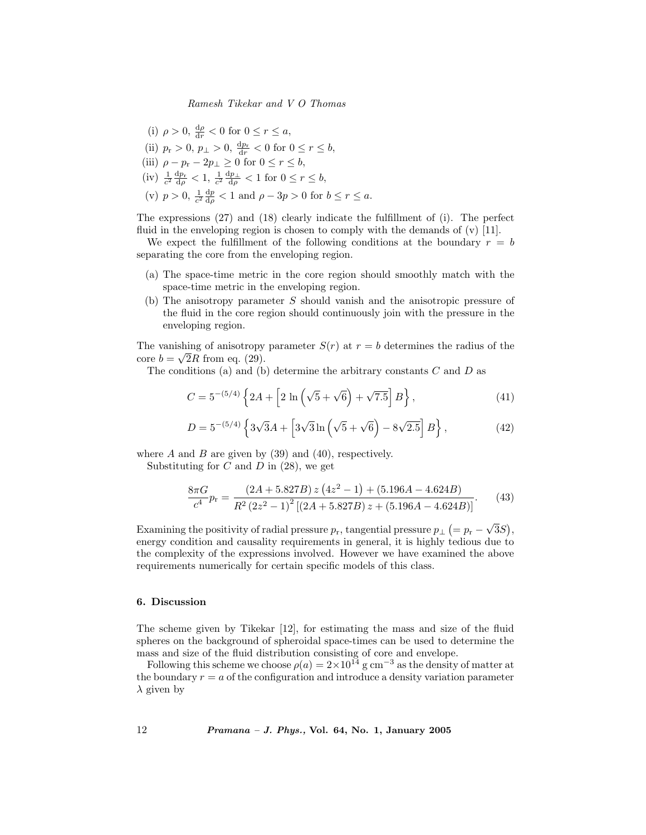(i)  $\rho > 0$ ,  $\frac{d\rho}{dr} < 0$  for  $0 \le r \le a$ , (ii)  $p_r > 0, p_{\perp} > 0, \frac{dp_r}{dr} < 0$  for  $0 \le r \le b$ , (iii)  $\rho - p_{\rm r} - 2p_{\perp} \ge 0$  for  $0 \le r \le b$ , (iv)  $\frac{1}{c^2} \frac{dp_r}{dp} < 1$ ,  $\frac{1}{c^2} \frac{dp_\perp}{dp} < 1$  for  $0 \le r \le b$ , (v)  $p > 0$ ,  $\frac{1}{c^2} \frac{dp}{dp} < 1$  and  $\rho - 3p > 0$  for  $b \le r \le a$ .

The expressions (27) and (18) clearly indicate the fulfillment of (i). The perfect fluid in the enveloping region is chosen to comply with the demands of  $(v)$  [11].

We expect the fulfillment of the following conditions at the boundary  $r = b$ separating the core from the enveloping region.

- (a) The space-time metric in the core region should smoothly match with the space-time metric in the enveloping region.
- (b) The anisotropy parameter S should vanish and the anisotropic pressure of the fluid in the core region should continuously join with the pressure in the enveloping region.

The vanishing of anisotropy parameter  $S(r)$  at  $r = b$  determines the radius of the core  $b = \sqrt{2}R$  from eq. (29).

The conditions (a) and (b) determine the arbitrary constants  $C$  and  $D$  as

$$
C = 5^{-(5/4)} \left\{ 2A + \left[ 2 \ln \left( \sqrt{5} + \sqrt{6} \right) + \sqrt{7.5} \right] B \right\},\tag{41}
$$

$$
D = 5^{-(5/4)} \left\{ 3\sqrt{3}A + \left[ 3\sqrt{3}\ln\left(\sqrt{5} + \sqrt{6}\right) - 8\sqrt{2.5} \right] B \right\},\tag{42}
$$

where A and B are given by  $(39)$  and  $(40)$ , respectively.

Substituting for  $C$  and  $D$  in  $(28)$ , we get

$$
\frac{8\pi G}{c^4}p_r = \frac{(2A + 5.827B) z (4z^2 - 1) + (5.196A - 4.624B)}{R^2 (2z^2 - 1)^2 [(2A + 5.827B) z + (5.196A - 4.624B)]}.
$$
 (43)

Examining the positivity of radial pressure  $p_r$ , tangential pressure  $p_{\perp}$  (=  $p_r - \sqrt{3}S$ ), energy condition and causality requirements in general, it is highly tedious due to the complexity of the expressions involved. However we have examined the above requirements numerically for certain specific models of this class.

## 6. Discussion

The scheme given by Tikekar [12], for estimating the mass and size of the fluid spheres on the background of spheroidal space-times can be used to determine the mass and size of the fluid distribution consisting of core and envelope.

Following this scheme we choose  $\rho(a) = 2 \times 10^{14}$  g cm<sup>-3</sup> as the density of matter at the boundary  $r = a$  of the configuration and introduce a density variation parameter  $\lambda$  given by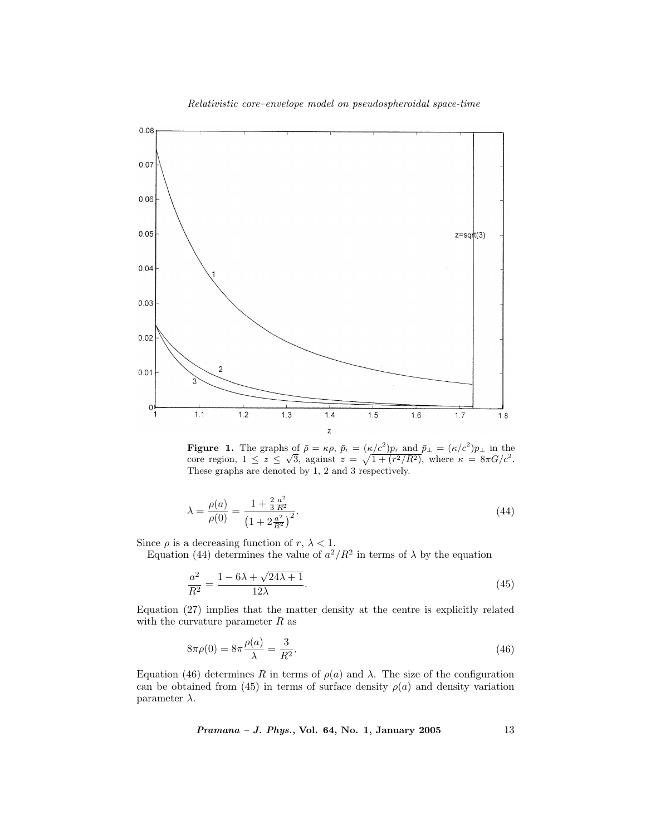

**Figure 1.** The graphs of  $\bar{\rho} = \kappa \rho$ ,  $\bar{p}_r = (\kappa/c^2)p_r$  and  $\bar{p}_\perp = (\kappa/c^2)p_\perp$  in the core region,  $1 \le z \le \sqrt{3}$ , against  $z = \sqrt{1 + (r^2/R^2)}$ , where  $\kappa = 8\pi G/c^2$ . These graphs are denoted by 1, 2 and 3 respectively.

$$
\lambda = \frac{\rho(a)}{\rho(0)} = \frac{1 + \frac{2}{3}\frac{a^2}{R^2}}{\left(1 + 2\frac{a^2}{R^2}\right)^2}.
$$
\n(44)

Since  $\rho$  is a decreasing function of  $r, \lambda < 1$ . Equation (44) determines the value of  $a^2/R^2$  in terms of  $\lambda$  by the equation

$$
\frac{a^2}{R^2} = \frac{1 - 6\lambda + \sqrt{24\lambda + 1}}{12\lambda}.\tag{45}
$$

Equation (27) implies that the matter density at the centre is explicitly related with the curvature parameter  $R$  as

$$
8\pi\rho(0) = 8\pi \frac{\rho(a)}{\lambda} = \frac{3}{R^2}.
$$
\n(46)

Equation (46) determines R in terms of  $ρ(a)$  and  $λ$ . The size of the configuration can be obtained from (45) in terms of surface density  $\rho(a)$  and density variation parameter  $\lambda$ .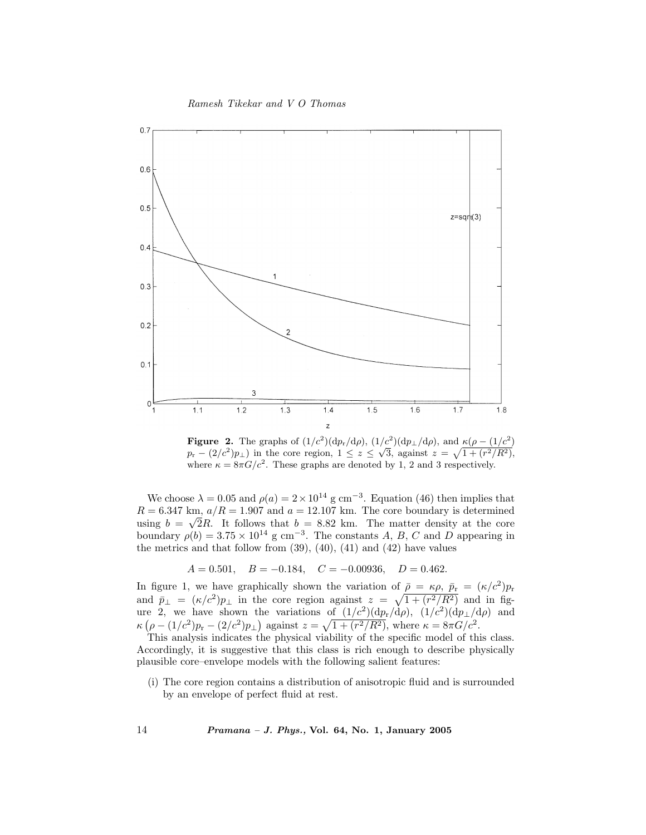Ramesh Tikekar and V O Thomas



**Figure 2.** The graphs of  $(1/c^2)(dp_r/d\rho)$ ,  $(1/c^2)(dp_\perp/d\rho)$ , and  $\kappa(\rho - (1/c^2))$  $p_r - (2/c^2)p_{\perp}$ ) in the core region,  $1 \le z \le \sqrt{3}$ , against  $z = \sqrt{1 + (r^2/R^2)}$ , where  $\kappa = 8\pi G/c^2$ . These graphs are denoted by 1, 2 and 3 respectively.

We choose  $\lambda = 0.05$  and  $\rho(a) = 2 \times 10^{14}$  g cm<sup>-3</sup>. Equation (46) then implies that  $R = 6.347$  km,  $a/R = 1.907$  and  $a = 12.107$  km. The core boundary is determined using  $b = \sqrt{2}R$ . It follows that  $b = 8.82$  km. The matter density at the core boundary  $\rho(b) = 3.75 \times 10^{14}$  g cm<sup>-3</sup>. The constants A, B, C and D appearing in the metrics and that follow from  $(39)$ ,  $(40)$ ,  $(41)$  and  $(42)$  have values

$$
A = 0.501
$$
,  $B = -0.184$ ,  $C = -0.00936$ ,  $D = 0.462$ .

In figure 1, we have graphically shown the variation of  $\bar{\rho} = \kappa \rho, \bar{p}_r = (\kappa/c^2)p_r$ and  $\bar{p}_{\perp} = (\kappa/c^2)p_{\perp}$  in the core region against  $z = \sqrt{1 + (r^2/R^2)}$  and in figure 2, we have shown the variations of  $(1/c^2)(dp_r/d\rho)$ ,  $(1/c^2)(dp_\perp/d\rho)$  and  $\kappa \left( \rho - (1/c^2)p_{\rm r} - (2/c^2)p_{\perp} \right)$  against  $z = \sqrt{1 + (r^2/R^2)}$ , where  $\kappa = 8\pi G/c^2$ .

This analysis indicates the physical viability of the specific model of this class. Accordingly, it is suggestive that this class is rich enough to describe physically plausible core–envelope models with the following salient features:

(i) The core region contains a distribution of anisotropic fluid and is surrounded by an envelope of perfect fluid at rest.